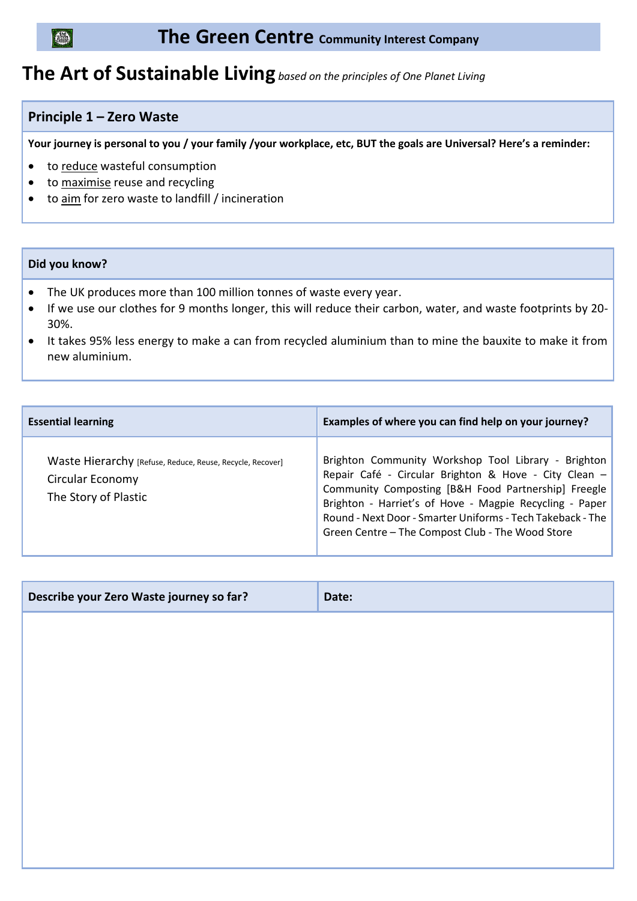## (archive)

### **The Green Centre Community Interest Company**

# **The Art of Sustainable Living** *based on the principles of One Planet Living*

### **Principle 1 – Zero Waste**

**Your journey is personal to you / your family /your workplace, etc, BUT the goals are Universal? Here's a reminder:**

- to reduce wasteful consumption
- to maximise reuse and recycling
- to aim for zero waste to landfill / incineration

#### **Did you know?**

- The UK produces more than 100 million tonnes of waste every year.
- If we use our clothes for 9 months longer, this will reduce their carbon, water, and waste footprints by 20- 30%.
- It takes 95% less energy to make a can from recycled aluminium than to mine the bauxite to make it from new aluminium.

| <b>Essential learning</b>                                                                             | Examples of where you can find help on your journey?                                                                                                                                                                                                                                                                                             |
|-------------------------------------------------------------------------------------------------------|--------------------------------------------------------------------------------------------------------------------------------------------------------------------------------------------------------------------------------------------------------------------------------------------------------------------------------------------------|
| Waste Hierarchy [Refuse, Reduce, Reuse, Recycle, Recover]<br>Circular Economy<br>The Story of Plastic | Brighton Community Workshop Tool Library - Brighton<br>Repair Café - Circular Brighton & Hove - City Clean -<br>Community Composting [B&H Food Partnership] Freegle<br>Brighton - Harriet's of Hove - Magpie Recycling - Paper<br>Round - Next Door - Smarter Uniforms - Tech Takeback - The<br>Green Centre - The Compost Club - The Wood Store |

| Describe your Zero Waste journey so far? | Date: |
|------------------------------------------|-------|
|                                          |       |
|                                          |       |
|                                          |       |
|                                          |       |
|                                          |       |